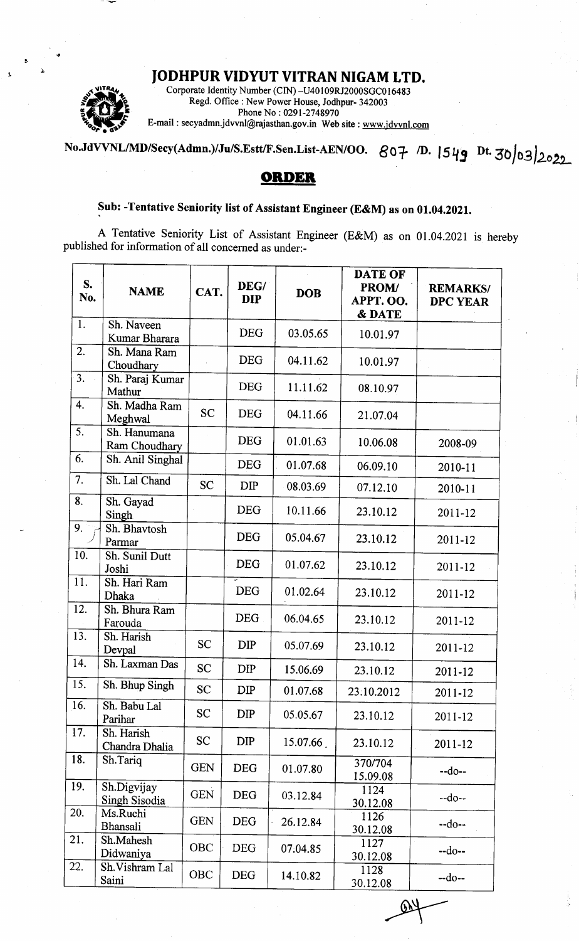## JODHPUR VIDYUT VITRAN NIGAM LTD.



Corporate Identity Number (CIN) -U40l09RJ2000SGC0 I <sup>6483</sup> Regd. Office : New Power House, Jodhpur- 342003 Phone No : 0291-2748970<br>E-mail : secyadmn.jdvvnl@rajasthan.gov.in Web site : www.jdvvnl.com

## No.JdVVNL/MD/Secy(Admn.)/Ju/S.Estt/F.Sen.List-AEN/OO.  $807$  D. 1549 Dt. 30032022

## ORDER

## Sub: -Tentative Seniority list of Assistant Engineer (E&M) as on 01.04,2021.

A Tentative Seniority List of Assistant Engineer (E&M) as on 0l.O4.ZO2l is hereby published for information of all concerned as under:-

| S.<br>No.        | <b>NAME</b>                   | CAT.       | DEG/<br><b>DIP</b> | <b>DOB</b> | <b>DATE OF</b><br>PROM/<br>APPT. OO.<br><b>&amp; DATE</b> | <b>REMARKS/</b><br><b>DPC YEAR</b> |
|------------------|-------------------------------|------------|--------------------|------------|-----------------------------------------------------------|------------------------------------|
| 1.               | Sh. Naveen<br>Kumar Bharara   |            | <b>DEG</b>         | 03.05.65   | 10.01.97                                                  |                                    |
| 2.               | Sh. Mana Ram<br>Choudhary     |            | <b>DEG</b>         | 04.11.62   | 10.01.97                                                  |                                    |
| 3.               | Sh. Paraj Kumar<br>Mathur     |            | <b>DEG</b>         | 11.11.62   | 08.10.97                                                  |                                    |
| 4.               | Sh. Madha Ram<br>Meghwal      | <b>SC</b>  | <b>DEG</b>         | 04.11.66   | 21.07.04                                                  |                                    |
| 5.               | Sh. Hanumana<br>Ram Choudhary |            | <b>DEG</b>         | 01.01.63   | 10.06.08                                                  | 2008-09                            |
| 6.               | Sh. Anil Singhal              |            | <b>DEG</b>         | 01.07.68   | 06.09.10                                                  | 2010-11                            |
| 7.               | Sh. Lal Chand                 | SĊ         | <b>DIP</b>         | 08.03.69   | 07.12.10                                                  | 2010-11                            |
| 8.               | Sh. Gayad<br>Singh            |            | <b>DEG</b>         | 10.11.66   | 23.10.12                                                  | 2011-12                            |
| 9.               | Sh. Bhavtosh<br>Parmar        |            | <b>DEG</b>         | 05.04.67   | 23.10.12                                                  | 2011-12                            |
| 10.              | Sh. Sunil Dutt<br>Joshi       |            | <b>DEG</b>         | 01.07.62   | 23.10.12                                                  | 2011-12                            |
| 11.              | Sh. Hari Ram<br>Dhaka         |            | <b>DEG</b>         | 01.02.64   | 23.10.12                                                  | 2011-12                            |
| 12.              | Sh. Bhura Ram<br>Farouda      |            | <b>DEG</b>         | 06.04.65   | 23.10.12                                                  | $2011 - 12$                        |
| 13.              | Sh. Harish<br>Devpal          | <b>SC</b>  | <b>DIP</b>         | 05.07.69   | 23.10.12                                                  | 2011-12                            |
| 14.              | Sh. Laxman Das                | <b>SC</b>  | <b>DIP</b>         | 15.06.69   | 23.10.12                                                  | 2011-12                            |
| 15.              | Sh. Bhup Singh                | SC         | <b>DIP</b>         | 01.07.68   | 23.10.2012                                                | 2011-12                            |
| 16.              | Sh. Babu Lal<br>Parihar       | <b>SC</b>  | <b>DIP</b>         | 05.05.67   | 23.10.12                                                  | 2011-12                            |
| 17.              | Sh. Harish<br>Chandra Dhalia  | <b>SC</b>  | <b>DIP</b>         | 15.07.66   | 23.10.12                                                  | 2011-12                            |
| 18.              | Sh.Tariq                      | <b>GEN</b> | <b>DEG</b>         | 01.07.80   | 370/704<br>15.09.08                                       | $-do-$                             |
| 19.              | Sh.Digvijay<br>Singh Sisodia  | <b>GEN</b> | <b>DEG</b>         | 03.12.84   | 1124<br>30.12.08                                          | $-do-$                             |
| 20.              | Ms.Ruchi<br>Bhansali          | <b>GEN</b> | <b>DEG</b>         | 26.12.84   | 1126<br>30.12.08                                          | $-do-$                             |
| 21.              | Sh.Mahesh<br>Didwaniya        | <b>OBC</b> | <b>DEG</b>         | 07.04.85   | 1127<br>30.12.08                                          | $-do-$                             |
| $\overline{2}2.$ | Sh.Vishram Lal<br>Saini       | OBC        | <b>DEG</b>         | 14.10.82   | 1128<br>30.12.08                                          | $-do-$                             |
|                  |                               |            |                    |            |                                                           |                                    |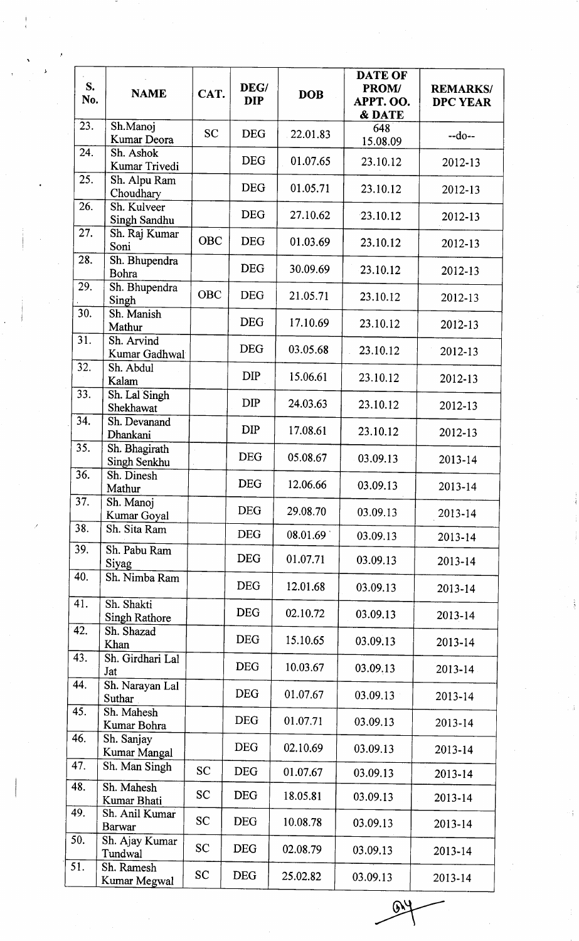| S.<br>No. | <b>NAME</b>                        | CAT.       | DEG/<br><b>DIP</b> | <b>DOB</b> | <b>DATE OF</b><br><b>PROM/</b><br>APPT. OO.<br>& DATE | <b>REMARKS/</b><br><b>DPC YEAR</b> |
|-----------|------------------------------------|------------|--------------------|------------|-------------------------------------------------------|------------------------------------|
| 23.       | Sh.Manoj<br>Kumar Deora            | <b>SC</b>  | <b>DEG</b>         | 22.01.83   | 648<br>15.08.09                                       | $-do-$                             |
| 24.       | Sh. Ashok<br>Kumar Trivedi         |            | <b>DEG</b>         | 01.07.65   | 23.10.12                                              | 2012-13                            |
| 25.       | Sh. Alpu Ram<br>Choudhary          |            | <b>DEG</b>         | 01.05.71   | 23.10.12                                              | 2012-13                            |
| 26.       | Sh. Kulveer<br>Singh Sandhu        |            | <b>DEG</b>         | 27.10.62   | 23.10.12                                              | 2012-13                            |
| 27.       | Sh. Raj Kumar<br>Soni              | <b>OBC</b> | <b>DEG</b>         | 01.03.69   | 23.10.12                                              | 2012-13                            |
| 28.       | Sh. Bhupendra<br><b>Bohra</b>      |            | <b>DEG</b>         | 30.09.69   | 23.10.12                                              | 2012-13                            |
| 29.       | Sh. Bhupendra<br>Singh             | <b>OBC</b> | <b>DEG</b>         | 21.05.71   | 23.10.12                                              | 2012-13                            |
| 30.       | Sh. Manish<br>Mathur               |            | <b>DEG</b>         | 17.10.69   | 23.10.12                                              | 2012-13                            |
| 31.       | Sh. Arvind<br>Kumar Gadhwal        |            | <b>DEG</b>         | 03.05.68   | 23.10.12                                              | 2012-13                            |
| 32.       | Sh. Abdul<br>Kalam                 |            | <b>DIP</b>         | 15.06.61   | 23.10.12                                              | 2012-13                            |
| 33.       | Sh. Lal Singh<br>Shekhawat         |            | <b>DIP</b>         | 24.03.63   | 23.10.12                                              | 2012-13                            |
| 34.       | Sh. Devanand<br>Dhankani           |            | <b>DIP</b>         | 17.08.61   | 23.10.12                                              | 2012-13                            |
| 35.       | Sh. Bhagirath<br>Singh Senkhu      |            | <b>DEG</b>         | 05.08.67   | 03.09.13                                              | 2013-14                            |
| 36.       | Sh. Dinesh<br>Mathur               |            | <b>DEG</b>         | 12.06.66   | 03.09.13                                              | 2013-14                            |
| 37.       | Sh. Manoj<br>Kumar Goyal           |            | <b>DEG</b>         | 29.08.70   | 03.09.13                                              | 2013-14                            |
| 38.       | Sh. Sita Ram                       |            | <b>DEG</b>         | 08.01.69   | 03.09.13                                              | $2013 - 14$                        |
| 39.       | Sh. Pabu Ram<br>Siyag              |            | <b>DEG</b>         | 01.07.71   | 03.09.13                                              | 2013-14                            |
| 40.       | Sh. Nimba Ram                      |            | <b>DEG</b>         | 12.01.68   | 03.09.13                                              | 2013-14                            |
| 41.       | Sh. Shakti<br><b>Singh Rathore</b> |            | <b>DEG</b>         | 02.10.72   | 03.09.13                                              | 2013-14                            |
| 42.       | Sh. Shazad<br>Khan                 |            | <b>DEG</b>         | 15.10.65   | 03.09.13                                              | 2013-14                            |
| 43.       | Sh. Girdhari Lal<br>Jat            |            | <b>DEG</b>         | 10.03.67   | 03.09.13                                              | 2013-14                            |
| 44.       | Sh. Narayan Lal<br>Suthar          |            | <b>DEG</b>         | 01.07.67   | 03.09.13                                              | 2013-14                            |
| 45.       | Sh. Mahesh<br>Kumar Bohra          |            | <b>DEG</b>         | 01.07.71   | 03.09.13                                              | 2013-14                            |
| 46.       | Sh. Sanjay<br>Kumar Mangal         |            | <b>DEG</b>         | 02.10.69   | 03.09.13                                              | 2013-14                            |
| 47.       | Sh. Man Singh                      | <b>SC</b>  | <b>DEG</b>         | 01.07.67   | 03.09.13                                              | 2013-14                            |
| 48.       | Sh. Mahesh<br>Kumar Bhati          | <b>SC</b>  | <b>DEG</b>         | 18.05.81   | 03.09.13                                              | 2013-14                            |
| 49.       | Sh. Anil Kumar<br><b>Barwar</b>    | <b>SC</b>  | <b>DEG</b>         | 10.08.78   | 03.09.13                                              | 2013-14                            |
| 50.       | Sh. Ajay Kumar<br>Tundwal          | <b>SC</b>  | <b>DEG</b>         | 02.08.79   | 03.09.13                                              | 2013-14                            |
| 51.       | Sh. Ramesh<br>Kumar Megwal         | <b>SC</b>  | <b>DEG</b>         | 25.02.82   | 03.09.13                                              | 2013-14                            |

 $\mathbb{R}^4$  $\overline{ }$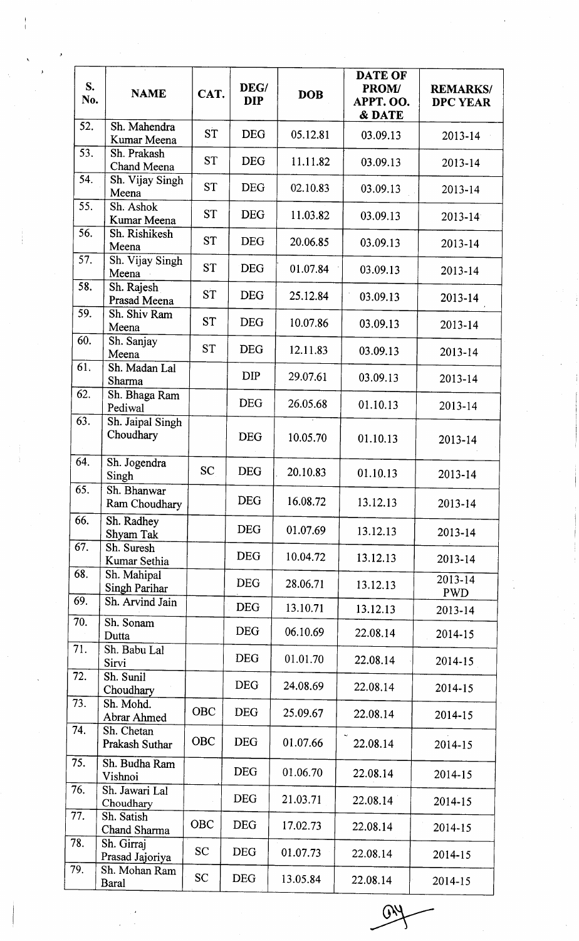| S.<br>No.         | <b>NAME</b>                   | CAT.       | DEG/<br><b>DIP</b> | <b>DOB</b> | <b>DATE OF</b><br><b>PROM/</b><br>APPT. OO.<br><b>&amp; DATE</b> | <b>REMARKS/</b><br><b>DPC YEAR</b> |
|-------------------|-------------------------------|------------|--------------------|------------|------------------------------------------------------------------|------------------------------------|
| 52.               | Sh. Mahendra<br>Kumar Meena   | <b>ST</b>  | <b>DEG</b>         | 05.12.81   | 03.09.13                                                         | 2013-14                            |
| $\overline{53}$ . | Sh. Prakash<br>Chand Meena    | <b>ST</b>  | <b>DEG</b>         | 11.11.82   | 03.09.13                                                         | 2013-14                            |
| 54.               | Sh. Vijay Singh<br>Meena      | <b>ST</b>  | <b>DEG</b>         | 02.10.83   | 03.09.13                                                         | 2013-14                            |
| 55.               | Sh. Ashok<br>Kumar Meena      | <b>ST</b>  | <b>DEG</b>         | 11.03.82   | 03.09.13                                                         | 2013-14                            |
| 56.               | Sh. Rishikesh<br>Meena        | <b>ST</b>  | <b>DEG</b>         | 20.06.85   | 03.09.13                                                         | 2013-14                            |
| 57.               | Sh. Vijay Singh<br>Meena      | <b>ST</b>  | <b>DEG</b>         | 01.07.84   | 03.09.13                                                         | 2013-14                            |
| 58.               | Sh. Rajesh<br>Prasad Meena    | <b>ST</b>  | <b>DEG</b>         | 25.12.84   | 03.09.13                                                         | 2013-14                            |
| 59.               | Sh. Shiv Ram<br>Meena         | <b>ST</b>  | <b>DEG</b>         | 10.07.86   | 03.09.13                                                         | 2013-14                            |
| 60.               | Sh. Sanjay<br>Meena           | <b>ST</b>  | <b>DEG</b>         | 12.11.83   | 03.09.13                                                         | 2013-14                            |
| 61.               | Sh. Madan Lal<br>Sharma       |            | <b>DIP</b>         | 29.07.61   | 03.09.13                                                         | 2013-14                            |
| 62.               | Sh. Bhaga Ram<br>Pediwal      |            | <b>DEG</b>         | 26.05.68   | 01.10.13                                                         | 2013-14                            |
| 63.               | Sh. Jaipal Singh<br>Choudhary |            | <b>DEG</b>         | 10.05.70   | 01.10.13                                                         | 2013-14                            |
| 64.               | Sh. Jogendra<br>Singh         | <b>SC</b>  | <b>DEG</b>         | 20.10.83   | 01.10.13                                                         | 2013-14                            |
| 65.               | Sh. Bhanwar<br>Ram Choudhary  |            | <b>DEG</b>         | 16.08.72   | 13.12.13                                                         | 2013-14                            |
| 66.               | Sh. Radhey<br>Shyam Tak       |            | <b>DEG</b>         | 01.07.69   | 13.12.13                                                         | 2013-14                            |
| 67.               | Sh. Suresh<br>Kumar Sethia    |            | <b>DEG</b>         | 10.04.72   | 13.12.13                                                         | $2013 - 14$                        |
| 68.               | Sh. Mahipal<br>Singh Parihar  |            | <b>DEG</b>         | 28.06.71   | 13.12.13                                                         | 2013-14<br><b>PWD</b>              |
| 69.<br>70.        | Sh. Arvind Jain<br>Sh. Sonam  |            | <b>DEG</b>         | 13.10.71   | 13.12.13                                                         | 2013-14                            |
| 71.               | Dutta<br>Sh. Babu Lal         |            | <b>DEG</b>         | 06.10.69   | 22.08.14                                                         | 2014-15                            |
| 72.               | Sirvi<br>Sh. Sunil            |            | <b>DEG</b>         | 01.01.70   | 22.08.14                                                         | 2014-15                            |
| 73.               | Choudhary                     |            | <b>DEG</b>         | 24.08.69   | 22.08.14                                                         | 2014-15                            |
|                   | Sh. Mohd.<br>Abrar Ahmed      | <b>OBC</b> | <b>DEG</b>         | 25.09.67   | 22.08.14                                                         | 2014-15                            |
| 74.               | Sh. Chetan<br>Prakash Suthar  | <b>OBC</b> | <b>DEG</b>         | 01.07.66   | 22.08.14                                                         | 2014-15                            |
| 75.               | Sh. Budha Ram<br>Vishnoi      |            | <b>DEG</b>         | 01.06.70   | 22.08.14                                                         | 2014-15                            |
| 76.               | Sh. Jawari Lal<br>Choudhary   |            | <b>DEG</b>         | 21.03.71   | 22.08.14                                                         | 2014-15                            |
| 77.               | Sh. Satish<br>Chand Sharma    | <b>OBC</b> | <b>DEG</b>         | 17.02.73   | 22.08.14                                                         | 2014-15                            |
| 78.               | Sh. Girraj<br>Prasad Jajoriya | <b>SC</b>  | <b>DEG</b>         | 01.07.73   | 22.08.14                                                         | 2014-15                            |
| 79.               | Sh. Mohan Ram<br><b>Baral</b> | <b>SC</b>  | <b>DEG</b>         | 13.05.84   | 22.08.14                                                         | 2014-15                            |
|                   |                               |            |                    |            |                                                                  |                                    |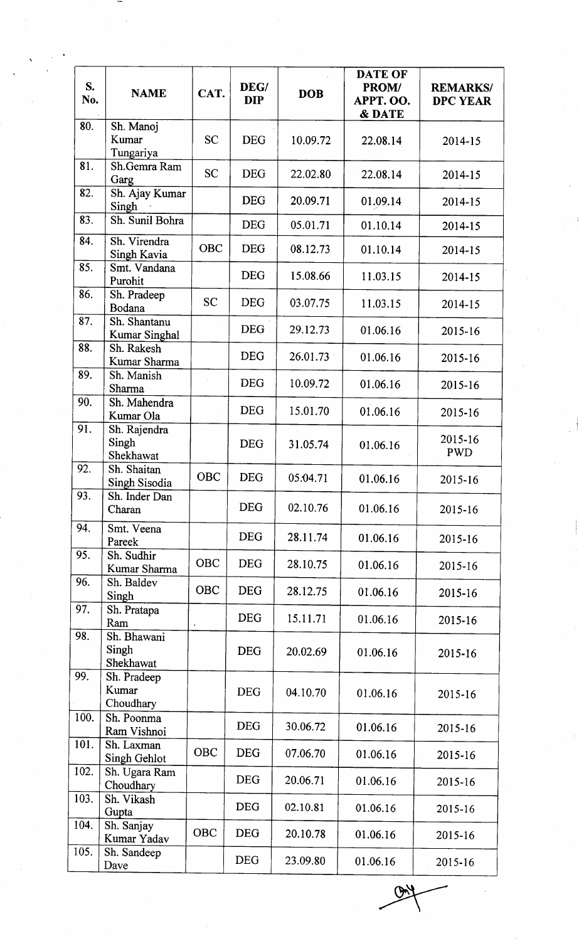| S.<br>No. | <b>NAME</b>                          | CAT.       | DEG/<br><b>DIP</b> | <b>DOB</b> | DATE OF<br>PROM/<br>APPT. OO.<br><b>&amp; DATE</b> | <b>REMARKS/</b><br><b>DPC YEAR</b> |
|-----------|--------------------------------------|------------|--------------------|------------|----------------------------------------------------|------------------------------------|
| 80.       | Sh. Manoj<br>Kumar<br>Tungariya      | <b>SC</b>  | <b>DEG</b>         | 10.09.72   | 22.08.14                                           | 2014-15                            |
| 81.       | Sh.Gemra Ram<br>Garg                 | <b>SC</b>  | <b>DEG</b>         | 22.02.80   | 22.08.14                                           | 2014-15                            |
| 82.       | Sh. Ajay Kumar<br>Singh              |            | <b>DEG</b>         | 20.09.71   | 01.09.14                                           | 2014-15                            |
| 83.       | Sh. Sunil Bohra                      |            | <b>DEG</b>         | 05.01.71   | 01.10.14                                           | 2014-15                            |
| 84.       | Sh. Virendra<br>Singh Kavia          | <b>OBC</b> | <b>DEG</b>         | 08.12.73   | 01.10.14                                           | 2014-15                            |
| 85.       | Smt. Vandana<br>Purohit              |            | <b>DEG</b>         | 15.08.66   | 11.03.15                                           | 2014-15                            |
| 86.       | Sh. Pradeep<br>Bodana                | <b>SC</b>  | <b>DEG</b>         | 03.07.75   | 11.03.15                                           | 2014-15                            |
| 87.       | Sh. Shantanu<br><b>Kumar Singhal</b> |            | <b>DEG</b>         | 29.12.73   | 01.06.16                                           | 2015-16                            |
| 88.       | Sh. Rakesh<br>Kumar Sharma           |            | <b>DEG</b>         | 26.01.73   | 01.06.16                                           | 2015-16                            |
| 89.       | Sh. Manish<br>Sharma                 |            | <b>DEG</b>         | 10.09.72   | 01.06.16                                           | 2015-16                            |
| 90.       | Sh. Mahendra<br>Kumar Ola            |            | <b>DEG</b>         | 15.01.70   | 01.06.16                                           | 2015-16                            |
| 91.       | Sh. Rajendra<br>Singh<br>Shekhawat   |            | <b>DEG</b>         | 31.05.74   | 01.06.16                                           | 2015-16<br><b>PWD</b>              |
| 92.       | Sh. Shaitan<br>Singh Sisodia         | OBC        | <b>DEG</b>         | 05.04.71   | 01.06.16                                           | 2015-16                            |
| 93.       | Sh. Inder Dan<br>Charan              |            | <b>DEG</b>         | 02.10.76   | 01.06.16                                           | 2015-16                            |
| 94.       | Smt. Veena<br>Pareek                 |            | <b>DEG</b>         | 28.11.74   | 01.06.16                                           | 2015-16                            |
| 95.       | Sh. Sudhir<br>Kumar Sharma           | OBC        | <b>DEG</b>         | 28.10.75   | 01.06.16                                           | 2015-16                            |
| 96.       | Sh. Baldev<br>Singh                  | <b>OBC</b> | <b>DEG</b>         | 28.12.75   | 01.06.16                                           | 2015-16                            |
| 97.       | Sh. Pratapa<br>Ram                   |            | <b>DEG</b>         | 15.11.71   | 01.06.16                                           | 2015-16                            |
| 98.       | Sh. Bhawani<br>Singh<br>Shekhawat    |            | <b>DEG</b>         | 20.02.69   | 01.06.16                                           | 2015-16                            |
| 99.       | Sh. Pradeep<br>Kumar<br>Choudhary    |            | <b>DEG</b>         | 04.10.70   | 01.06.16                                           | 2015-16                            |
| 100.      | Sh. Poonma<br>Ram Vishnoi            |            | <b>DEG</b>         | 30.06.72   | 01.06.16                                           | 2015-16                            |
| 101.      | Sh. Laxman<br>Singh Gehlot           | <b>OBC</b> | <b>DEG</b>         | 07.06.70   | 01.06.16                                           | 2015-16                            |
| 102.      | Sh. Ugara Ram<br>Choudhary           |            | <b>DEG</b>         | 20.06.71   | 01.06.16                                           | 2015-16                            |
| 103.      | Sh. Vikash<br>Gupta                  |            | <b>DEG</b>         | 02.10.81   | 01.06.16                                           | 2015-16                            |
| 104.      | Sh. Sanjay<br>Kumar Yadav            | <b>OBC</b> | <b>DEG</b>         | 20.10.78   | 01.06.16                                           | 2015-16                            |
| 105.      | Sh. Sandeep<br>Dave                  |            | <b>DEG</b>         | 23.09.80   | 01.06.16                                           | 2015-16                            |

 $\widetilde{P}$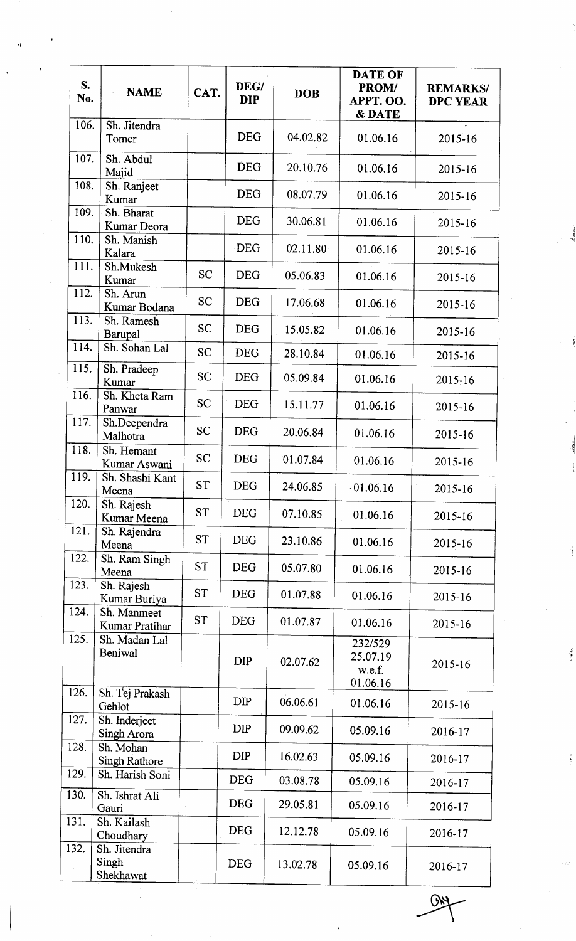| S.<br>No.          | <b>NAME</b>                        | CAT.      | DEG/<br><b>DIP</b> | <b>DOB</b> | <b>DATE OF</b><br>PROM/<br>APPT. OO.<br>& DATE | <b>REMARKS/</b><br><b>DPC YEAR</b> |
|--------------------|------------------------------------|-----------|--------------------|------------|------------------------------------------------|------------------------------------|
| 106.               | Sh. Jitendra<br>Tomer              |           | <b>DEG</b>         | 04.02.82   | 01.06.16                                       | 2015-16                            |
| 107.               | Sh. Abdul<br>Majid                 |           | <b>DEG</b>         | 20.10.76   | 01.06.16                                       | 2015-16                            |
| 108.               | Sh. Ranjeet<br>Kumar               |           | <b>DEG</b>         | 08.07.79   | 01.06.16                                       | 2015-16                            |
| 109.               | Sh. Bharat<br>Kumar Deora          |           | <b>DEG</b>         | 30.06.81   | 01.06.16                                       | 2015-16                            |
| 110.               | Sh. Manish<br>Kalara               |           | <b>DEG</b>         | 02.11.80   | 01.06.16                                       | 2015-16                            |
| $11\overline{1}$ . | Sh.Mukesh<br>Kumar                 | <b>SC</b> | <b>DEG</b>         | 05.06.83   | 01.06.16                                       | 2015-16                            |
| 112.               | Sh. Arun<br>Kumar Bodana           | <b>SC</b> | <b>DEG</b>         | 17.06.68   | 01.06.16                                       | 2015-16                            |
| 113.               | Sh. Ramesh<br>Barupal              | <b>SC</b> | <b>DEG</b>         | 15.05.82   | 01.06.16                                       | 2015-16                            |
| 114.               | Sh. Sohan Lal                      | <b>SC</b> | <b>DEG</b>         | 28.10.84   | 01.06.16                                       | 2015-16                            |
| 115.               | Sh. Pradeep<br>Kumar               | <b>SC</b> | <b>DEG</b>         | 05.09.84   | 01.06.16                                       | 2015-16                            |
| 116.               | Sh. Kheta Ram<br>Panwar            | <b>SC</b> | <b>DEG</b>         | 15.11.77   | 01.06.16                                       | 2015-16                            |
| 117.               | Sh.Deependra<br>Malhotra           | <b>SC</b> | <b>DEG</b>         | 20.06.84   | 01.06.16                                       | 2015-16                            |
| 118.               | Sh. Hemant<br>Kumar Aswani         | <b>SC</b> | <b>DEG</b>         | 01.07.84   | 01.06.16                                       | 2015-16                            |
| 119.               | Sh. Shashi Kant<br>Meena           | <b>ST</b> | <b>DEG</b>         | 24.06.85   | 01.06.16                                       | 2015-16                            |
| 120.               | Sh. Rajesh<br>Kumar Meena          | <b>ST</b> | <b>DEG</b>         | 07.10.85   | 01.06.16                                       | 2015-16                            |
| 121.               | Sh. Rajendra<br>Meena              | <b>ST</b> | <b>DEG</b>         | 23.10.86   | 01.06.16                                       | 2015-16                            |
| 122.               | Sh. Ram Singh<br>Meena             | <b>ST</b> | <b>DEG</b>         | 05.07.80   | 01.06.16                                       | 2015-16                            |
| 123.               | Sh. Rajesh<br>Kumar Buriya         | <b>ST</b> | <b>DEG</b>         | 01.07.88   | 01.06.16                                       | 2015-16                            |
| 124.               | Sh. Manmeet<br>Kumar Pratihar      | <b>ST</b> | <b>DEG</b>         | 01.07.87   | 01.06.16                                       | 2015-16                            |
| 125.               | Sh. Madan Lal<br>Beniwal           |           | <b>DIP</b>         | 02.07.62   | 232/529<br>25.07.19<br>w.e.f.<br>01.06.16      | 2015-16                            |
| 126.               | Sh. Tej Prakash<br>Gehlot          |           | <b>DIP</b>         | 06.06.61   | 01.06.16                                       | 2015-16                            |
| 127.               | Sh. Inderjeet<br>Singh Arora       |           | <b>DIP</b>         | 09.09.62   | 05.09.16                                       | 2016-17                            |
| 128.               | Sh. Mohan<br><b>Singh Rathore</b>  |           | <b>DIP</b>         | 16.02.63   | 05.09.16                                       | 2016-17                            |
| 129.               | Sh. Harish Soni                    |           | <b>DEG</b>         | 03.08.78   | 05.09.16                                       | 2016-17                            |
| 130.               | Sh. Ishrat Ali<br>Gauri            |           | <b>DEG</b>         | 29.05.81   | 05.09.16                                       | 2016-17                            |
| 131.               | Sh. Kailash<br>Choudhary           |           | <b>DEG</b>         | 12.12.78   | 05.09.16                                       | 2016-17                            |
| 132.               | Sh. Jitendra<br>Singh<br>Shekhawat |           | <b>DEG</b>         | 13.02.78   | 05.09.16                                       | 2016-17                            |

**GNY**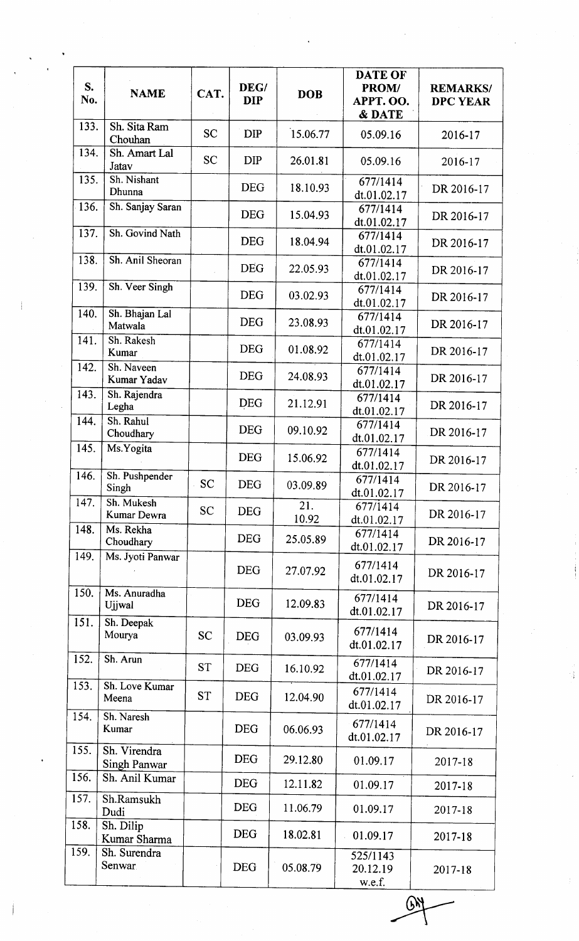| S.<br>No.    | <b>NAME</b>                         | CAT.      | DEG/<br><b>DIP</b> | <b>DOB</b>   | <b>DATE OF</b><br>PROM/<br>APPT. OO.<br>& DATE | <b>REMARKS/</b><br><b>DPC YEAR</b> |
|--------------|-------------------------------------|-----------|--------------------|--------------|------------------------------------------------|------------------------------------|
| 133.         | Sh. Sita Ram<br>Chouhan             | <b>SC</b> | <b>DIP</b>         | 15.06.77     | 05.09.16                                       | 2016-17                            |
| 134.         | Sh. Amart Lal<br>Jatav              | <b>SC</b> | <b>DIP</b>         | 26.01.81     | 05.09.16                                       | 2016-17                            |
| 135.         | Sh. Nishant<br>Dhunna               |           | <b>DEG</b>         | 18.10.93     | 677/1414<br>dt.01.02.17                        | DR 2016-17                         |
| 136.         | Sh. Sanjay Saran                    |           | <b>DEG</b>         | 15.04.93     | 677/1414<br>dt.01.02.17                        | DR 2016-17                         |
| 137.         | Sh. Govind Nath                     |           | <b>DEG</b>         | 18.04.94     | 677/1414<br>dt.01.02.17                        | DR 2016-17                         |
| 138.         | Sh. Anil Sheoran                    |           | <b>DEG</b>         | 22.05.93     | 677/1414<br>dt.01.02.17                        | DR 2016-17                         |
| 139.         | Sh. Veer Singh                      |           | <b>DEG</b>         | 03.02.93     | 677/1414<br>dt.01.02.17                        | DR 2016-17                         |
| 140.         | Sh. Bhajan Lal<br>Matwala           |           | <b>DEG</b>         | 23.08.93     | 677/1414<br>dt.01.02.17                        | DR 2016-17                         |
| 141.         | Sh. Rakesh<br>Kumar<br>Sh. Naveen   |           | <b>DEG</b>         | 01.08.92     | 677/1414<br>dt.01.02.17                        | DR 2016-17                         |
| 142.<br>143. | Kumar Yadav                         |           | <b>DEG</b>         | 24.08.93     | 677/1414<br>dt.01.02.17                        | DR 2016-17                         |
| 144.         | Sh. Rajendra<br>Legha<br>Sh. Rahul  |           | <b>DEG</b>         | 21.12.91     | 677/1414<br>dt.01.02.17                        | DR 2016-17                         |
| 145.         | Choudhary<br>Ms.Yogita              |           | <b>DEG</b>         | 09.10.92     | 677/1414<br>dt.01.02.17                        | DR 2016-17                         |
| 146.         | Sh. Pushpender                      |           | <b>DEG</b>         | 15.06.92     | 677/1414<br>dt.01.02.17                        | DR 2016-17                         |
| 147.         | Singh<br>Sh. Mukesh                 | <b>SC</b> | <b>DEG</b>         | 03.09.89     | 677/1414<br>dt.01.02.17                        | DR 2016-17                         |
| 148.         | <b>Kumar Dewra</b><br>Ms. Rekha     | <b>SC</b> | <b>DEG</b>         | 21.<br>10.92 | 677/1414<br>dt.01.02.17                        | DR 2016-17                         |
| 149.         | Choudhary<br>Ms. Jyoti Panwar       |           | <b>DEG</b>         | 25.05.89     | 677/1414<br>dt.01.02.17                        | DR 2016-17                         |
|              |                                     |           | <b>DEG</b>         | 27.07.92     | 677/1414<br>dt.01.02.17                        | DR 2016-17                         |
| 150.         | Ms. Anuradha<br>Ujjwal              |           | <b>DEG</b>         | 12.09.83     | 677/1414<br>dt.01.02.17                        | DR 2016-17                         |
| 151.         | Sh. Deepak<br>Mourya                | <b>SC</b> | <b>DEG</b>         | 03.09.93     | 677/1414<br>dt.01.02.17                        | DR 2016-17                         |
| 152.         | Sh. Arun                            | <b>ST</b> | <b>DEG</b>         | 16.10.92     | 677/1414<br>dt.01.02.17                        | DR 2016-17                         |
| 153.         | Sh. Love Kumar<br>Meena             | <b>ST</b> | <b>DEG</b>         | 12.04.90     | 677/1414<br>dt.01.02.17                        | DR 2016-17                         |
| 154.         | Sh. Naresh<br>Kumar                 |           | <b>DEG</b>         | 06.06.93     | 677/1414<br>dt.01.02.17                        | DR 2016-17                         |
| 155.         | Sh. Virendra<br><b>Singh Panwar</b> |           | <b>DEG</b>         | 29.12.80     | 01.09.17                                       | 2017-18                            |
| 156.         | Sh. Anil Kumar                      |           | <b>DEG</b>         | 12.11.82     | 01.09.17                                       | 2017-18                            |
| 157.         | Sh.Ramsukh<br>Dudi                  |           | <b>DEG</b>         | 11.06.79     | 01.09.17                                       | 2017-18                            |
| 158.         | Sh. Dilip<br>Kumar Sharma           |           | <b>DEG</b>         | 18.02.81     | 01.09.17                                       | 2017-18                            |
| 159.         | Sh. Surendra<br>Senwar              |           | <b>DEG</b>         | 05.08.79     | 525/1143<br>20.12.19<br>w.e.f.                 | 2017-18                            |
|              |                                     |           |                    |              |                                                |                                    |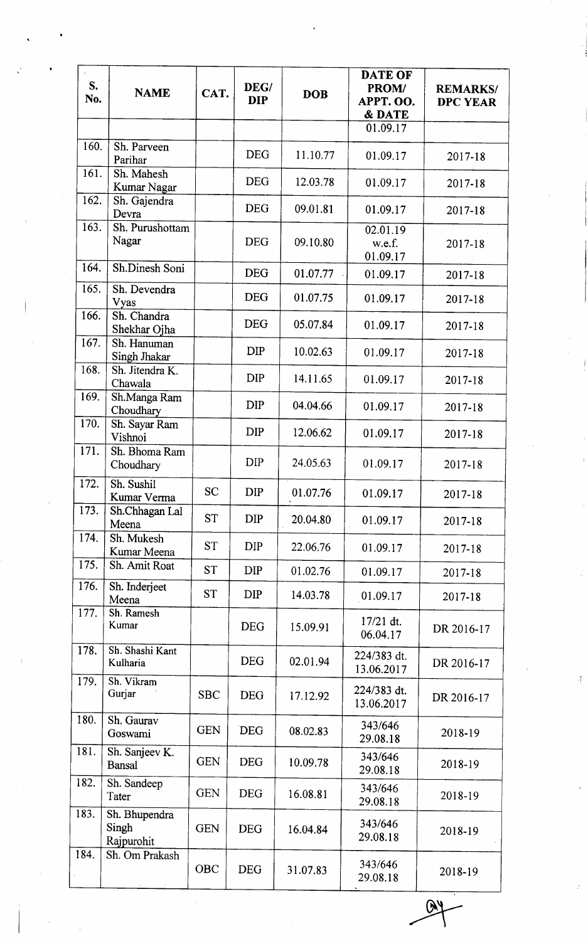| S.<br>No.    | <b>NAME</b>                          | CAT.       | DEG/<br><b>DIP</b> | <b>DOB</b> | <b>DATE OF</b><br>PROM/<br>APPT. OO.<br>& DATE | <b>REMARKS/</b><br><b>DPC YEAR</b> |
|--------------|--------------------------------------|------------|--------------------|------------|------------------------------------------------|------------------------------------|
|              |                                      |            |                    |            | 01.09.17                                       |                                    |
| 160.<br>161. | Sh. Parveen<br>Parihar               |            | <b>DEG</b>         | 11.10.77   | 01.09.17                                       | 2017-18                            |
|              | Sh. Mahesh<br><b>Kumar Nagar</b>     |            | <b>DEG</b>         | 12.03.78   | 01.09.17                                       | 2017-18                            |
| 162.         | Sh. Gajendra<br>Devra                |            | <b>DEG</b>         | 09.01.81   | 01.09.17                                       | 2017-18                            |
| 163.         | Sh. Purushottam<br>Nagar             |            | <b>DEG</b>         | 09.10.80   | 02.01.19<br>w.e.f.<br>01.09.17                 | 2017-18                            |
| 164.         | Sh.Dinesh Soni                       |            | <b>DEG</b>         | 01.07.77   | 01.09.17                                       | 2017-18                            |
| 165.         | Sh. Devendra<br>Vyas                 |            | <b>DEG</b>         | 01.07.75   | 01.09.17                                       | 2017-18                            |
| 166.         | Sh. Chandra<br>Shekhar Ojha          |            | <b>DEG</b>         | 05.07.84   | 01.09.17                                       | 2017-18                            |
| 167.         | Sh. Hanuman<br>Singh Jhakar          |            | <b>DIP</b>         | 10.02.63   | 01.09.17                                       | 2017-18                            |
| 168.         | Sh. Jitendra K.<br>Chawala           |            | <b>DIP</b>         | 14.11.65   | 01.09.17                                       | 2017-18                            |
| 169.         | Sh.Manga Ram<br>Choudhary            |            | <b>DIP</b>         | 04.04.66   | 01.09.17                                       | 2017-18                            |
| 170.         | Sh. Sayar Ram<br>Vishnoi             |            | <b>DIP</b>         | 12.06.62   | 01.09.17                                       | 2017-18                            |
| 171.         | Sh. Bhoma Ram<br>Choudhary           |            | <b>DIP</b>         | 24.05.63   | 01.09.17                                       | $2017 - 18$                        |
| 172.         | Sh. Sushil<br>Kumar Verma            | <b>SC</b>  | <b>DIP</b>         | 01.07.76   | 01.09.17                                       | 2017-18                            |
| 173.         | Sh.Chhagan Lal<br>Meena              | <b>ST</b>  | <b>DIP</b>         | 20.04.80   | 01.09.17                                       | 2017-18                            |
| 174.         | Sh. Mukesh<br>Kumar Meena            | <b>ST</b>  | DIP                | 22.06.76   | 01.09.17                                       | 2017-18                            |
| 175.         | Sh. Amit Roat                        | <b>ST</b>  | <b>DIP</b>         | 01.02.76   | 01.09.17                                       | 2017-18                            |
| 176.         | Sh. Inderjeet<br>Meena               | <b>ST</b>  | <b>DIP</b>         | 14.03.78   | 01.09.17                                       | 2017-18                            |
| 177.         | Sh. Ramesh<br>Kumar                  |            | <b>DEG</b>         | 15.09.91   | $17/21$ dt.<br>06.04.17                        | DR 2016-17                         |
| 178.         | Sh. Shashi Kant<br>Kulharia          |            | <b>DEG</b>         | 02.01.94   | 224/383 dt.<br>13.06.2017                      | DR 2016-17                         |
| 179.         | Sh. Vikram<br>Gurjar                 | <b>SBC</b> | <b>DEG</b>         | 17.12.92   | 224/383 dt.<br>13.06.2017                      | DR 2016-17                         |
| 180.         | Sh. Gaurav<br>Goswami                | <b>GEN</b> | <b>DEG</b>         | 08.02.83   | 343/646<br>29.08.18                            | 2018-19                            |
| 181.         | Sh. Sanjeev K.<br><b>Bansal</b>      | <b>GEN</b> | <b>DEG</b>         | 10.09.78   | 343/646<br>29.08.18                            | 2018-19                            |
| 182.         | Sh. Sandeep<br>Tater                 | <b>GEN</b> | <b>DEG</b>         | 16.08.81   | 343/646<br>29.08.18                            | 2018-19                            |
| 183.         | Sh. Bhupendra<br>Singh<br>Rajpurohit | <b>GEN</b> | <b>DEG</b>         | 16.04.84   | 343/646<br>29.08.18                            | 2018-19                            |
| 184.         | Sh. Om Prakash                       | OBC        | <b>DEG</b>         | 31.07.83   | 343/646<br>29.08.18                            | 2018-19                            |
|              |                                      |            |                    |            |                                                |                                    |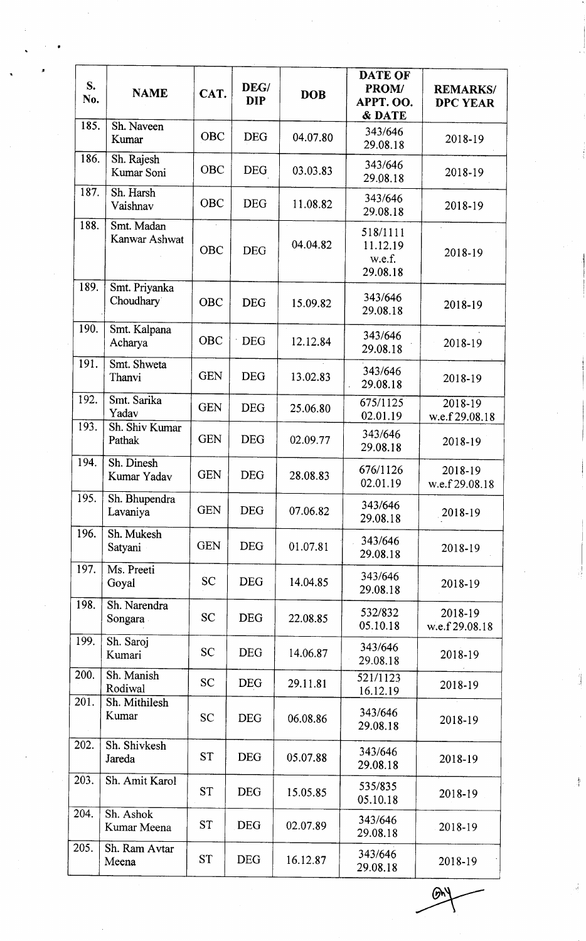| S.<br>No. | <b>NAME</b>                 | CAT.       | DEG/<br><b>DIP</b> | <b>DOB</b> | <b>DATE OF</b><br>PROM/<br>APPT. OO.<br><b>&amp; DATE</b> | <b>REMARKS/</b><br><b>DPC YEAR</b>     |
|-----------|-----------------------------|------------|--------------------|------------|-----------------------------------------------------------|----------------------------------------|
| 185.      | Sh. Naveen<br>Kumar         | <b>OBC</b> | <b>DEG</b>         | 04.07.80   | 343/646<br>29.08.18                                       | 2018-19                                |
| 186.      | Sh. Rajesh<br>Kumar Soni    | <b>OBC</b> | <b>DEG</b>         | 03.03.83   | 343/646<br>29.08.18                                       | 2018-19                                |
| 187.      | Sh. Harsh<br>Vaishnav       | <b>OBC</b> | <b>DEG</b>         | 11.08.82   | 343/646<br>29.08.18                                       | 2018-19                                |
| 188.      | Smt. Madan<br>Kanwar Ashwat | <b>OBC</b> | <b>DEG</b>         | 04.04.82   | 518/1111<br>11.12.19<br>w.e.f.<br>29.08.18                | $\mathcal{L}^{\mathcal{L}}$<br>2018-19 |
| 189.      | Smt. Priyanka<br>Choudhary  | <b>OBC</b> | <b>DEG</b>         | 15.09.82   | 343/646<br>29.08.18                                       | 2018-19                                |
| 190.      | Smt. Kalpana<br>Acharya     | <b>OBC</b> | <b>DEG</b>         | 12.12.84   | 343/646<br>29.08.18                                       | 2018-19                                |
| 191.      | Smt. Shweta<br>Thanvi       | <b>GEN</b> | <b>DEG</b>         | 13.02.83   | 343/646<br>29.08.18                                       | 2018-19                                |
| 192.      | Smt. Sarika<br>Yadav        | <b>GEN</b> | <b>DEG</b>         | 25.06.80   | 675/1125<br>02.01.19                                      | $2018 - 19$<br>w.e.f 29.08.18          |
| 193.      | Sh. Shiv Kumar<br>Pathak    | <b>GEN</b> | <b>DEG</b>         | 02.09.77   | 343/646<br>29.08.18                                       | 2018-19                                |
| 194.      | Sh. Dinesh<br>Kumar Yadav   | <b>GEN</b> | <b>DEG</b>         | 28.08.83   | 676/1126<br>02.01.19                                      | 2018-19<br>w.e.f 29.08.18              |
| 195.      | Sh. Bhupendra<br>Lavaniya   | <b>GEN</b> | <b>DEG</b>         | 07.06.82   | 343/646<br>29.08.18                                       | 2018-19                                |
| 196.      | Sh. Mukesh<br>Satyani       | <b>GEN</b> | <b>DEG</b>         | 01.07.81   | 343/646<br>29.08.18                                       | 2018-19                                |
| 197.      | Ms. Preeti<br>Goyal         | <b>SC</b>  | <b>DEG</b>         | 14.04.85   | 343/646<br>29.08.18                                       | 2018-19                                |
| 198.      | Sh. Narendra<br>Songara     | <b>SC</b>  | <b>DEG</b>         | 22.08.85   | 532/832<br>05.10.18                                       | 2018-19<br>w.e.f 29.08.18              |
| 199.      | Sh. Saroj<br>Kumari         | <b>SC</b>  | <b>DEG</b>         | 14.06.87   | 343/646<br>29.08.18                                       | 2018-19                                |
| 200.      | Sh. Manish<br>Rodiwal       | <b>SC</b>  | <b>DEG</b>         | 29.11.81   | 521/1123<br>16.12.19                                      | 2018-19                                |
| 201.      | Sh. Mithilesh<br>Kumar      | <b>SC</b>  | <b>DEG</b>         | 06.08.86   | 343/646<br>29.08.18                                       | 2018-19                                |
| 202.      | Sh. Shivkesh<br>Jareda      | <b>ST</b>  | <b>DEG</b>         | 05.07.88   | 343/646<br>29.08.18                                       | 2018-19                                |
| 203.      | Sh. Amit Karol              | <b>ST</b>  | <b>DEG</b>         | 15.05.85   | 535/835<br>05.10.18                                       | 2018-19                                |
| 204.      | Sh. Ashok<br>Kumar Meena    | <b>ST</b>  | <b>DEG</b>         | 02.07.89   | 343/646<br>29.08.18                                       | 2018-19                                |
| 205.      | Sh. Ram Avtar<br>Meena      | <b>ST</b>  | <b>DEG</b>         | 16.12.87   | 343/646<br>29.08.18                                       | 2018-19                                |

 $\mathcal{D}^{\vee}$ 

 $\frac{1}{2}$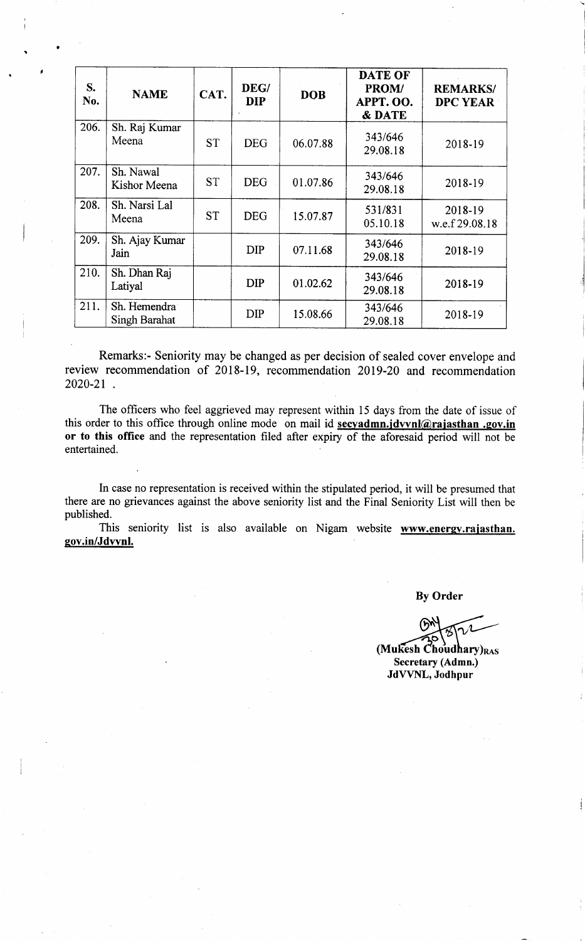| $S_{\bullet}$<br>No. | <b>NAME</b>                          | CAT.      | DEG/<br><b>DIP</b> | <b>DOB</b> | <b>DATE OF</b><br>PROM/<br><b>APPT. OO.</b><br>& DATE | <b>REMARKS/</b><br><b>DPC YEAR</b> |
|----------------------|--------------------------------------|-----------|--------------------|------------|-------------------------------------------------------|------------------------------------|
| 206.                 | Sh. Raj Kumar<br>Meena               | <b>ST</b> | <b>DEG</b>         | 06.07.88   | 343/646<br>29.08.18                                   | 2018-19                            |
| 207.                 | Sh. Nawal<br>Kishor Meena            | <b>ST</b> | <b>DEG</b>         | 01.07.86   | 343/646<br>29.08.18                                   | 2018-19                            |
| 208.                 | Sh. Narsi Lal<br>Meena               | <b>ST</b> | <b>DEG</b>         | 15.07.87   | 531/831<br>05.10.18                                   | 2018-19<br>w.e.f 29.08.18          |
| 209.                 | Sh. Ajay Kumar<br>Jain               |           | <b>DIP</b>         | 07.11.68   | 343/646<br>29.08.18                                   | 2018-19                            |
| 210.                 | Sh. Dhan Raj<br>Latiyal              |           | <b>DIP</b>         | 01.02.62   | 343/646<br>29.08.18                                   | 2018-19                            |
| 211.                 | Sh. Hemendra<br><b>Singh Barahat</b> |           | <b>DIP</b>         | 15.08.66   | 343/646<br>29.08.18                                   | 2018-19                            |

Remarks:- Seniority may be changed as per decision of sealed cover envelope and review recommendation of 2018-19, recommendation 2019-20 and recommendation 2020-21

The officers who feel aggrieved may represent within 15 days from the date of issue of this order to this office through online mode on mail id secyadmn.jdvvnl@rajasthan .gov.in or to this office and the representation filed after expiry of the aforesaid period will not be entertained

In case no representation is received within the stipulated period, it will be presumed that there are no grievances against the above seniority list and the Final Seniority List will then be published.

This seniority list is also available on Nigam website www.energy.rajasthan. gov.in/Jdvvnl.

By Order

 $\sqrt{2}$ 

(Mukesh Choudhary) $_{RAS}$ Secretary (Admn.) JdVVNL, Jodhpur